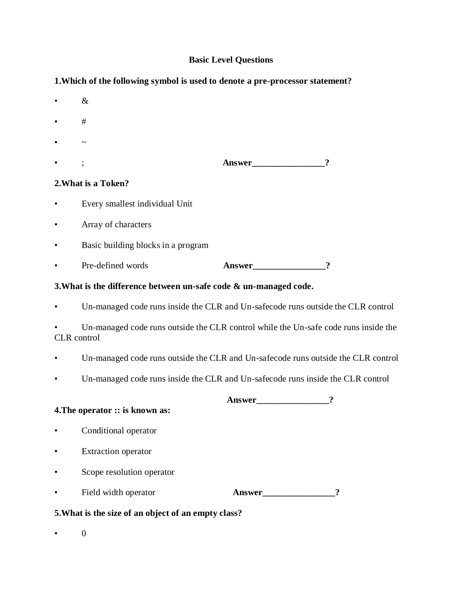# **Basic Level Questions**

**1.Which of the following symbol is used to denote a pre-processor statement?** 

|           | $\&$                                             |        |   |
|-----------|--------------------------------------------------|--------|---|
|           | #                                                |        |   |
|           | $\tilde{\phantom{a}}$                            |        |   |
|           |                                                  |        |   |
|           | 2. What is a Token?                              |        |   |
|           | Every smallest individual Unit                   |        |   |
|           | Array of characters                              |        |   |
| $\bullet$ | Basic building blocks in a program               |        |   |
|           | Pre-defined words                                | Answer | ႒ |
|           | $\sim$ $\sim$ $\sim$ $\sim$ $\sim$ $\sim$ $\sim$ |        |   |

**3.What is the difference between un-safe code & un-managed code.** 

Un-managed code runs inside the CLR and Un-safecode runs outside the CLR control

Un-managed code runs outside the CLR control while the Un-safe code runs inside the CLR control

- Un-managed code runs outside the CLR and Un-safecode runs outside the CLR control
- Un-managed code runs inside the CLR and Un-safecode runs inside the CLR control

**Answer\_\_\_\_\_\_\_\_\_\_\_\_\_\_\_\_?**

## **4.The operator :: is known as:**

- Conditional operator
- Extraction operator
- Scope resolution operator

|  | Field width operator | Answer |  |
|--|----------------------|--------|--|
|--|----------------------|--------|--|

## **5.What is the size of an object of an empty class?**

• 0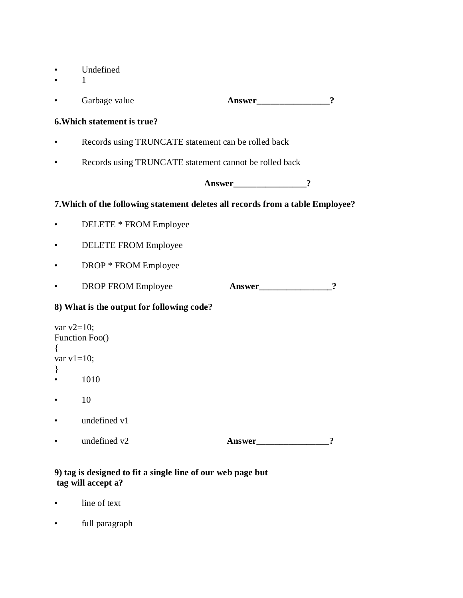- Undefined
- 1

|                                                          | Garbage value                                                                  | Answer   | $\boldsymbol{?}$    |  |  |
|----------------------------------------------------------|--------------------------------------------------------------------------------|----------|---------------------|--|--|
| 6. Which statement is true?                              |                                                                                |          |                     |  |  |
|                                                          | Records using TRUNCATE statement can be rolled back                            |          |                     |  |  |
|                                                          | Records using TRUNCATE statement cannot be rolled back                         |          |                     |  |  |
|                                                          |                                                                                | Answer 2 |                     |  |  |
|                                                          | 7. Which of the following statement deletes all records from a table Employee? |          |                     |  |  |
| $\bullet$                                                | DELETE * FROM Employee                                                         |          |                     |  |  |
| $\bullet$                                                | <b>DELETE FROM Employee</b>                                                    |          |                     |  |  |
| $\bullet$                                                | DROP * FROM Employee                                                           |          |                     |  |  |
| $\bullet$                                                | <b>DROP FROM Employee</b>                                                      | Answer   | $\boldsymbol{\eta}$ |  |  |
| 8) What is the output for following code?                |                                                                                |          |                     |  |  |
| var $v2=10$ ;<br>Function Foo()<br>var $v1=10$ ;<br>$\}$ |                                                                                |          |                     |  |  |
|                                                          | 1010                                                                           |          |                     |  |  |
|                                                          | 10                                                                             |          |                     |  |  |
|                                                          | undefined v1                                                                   |          |                     |  |  |
|                                                          | undefined v2                                                                   | Answer   | $\ddot{\cdot}$      |  |  |

## **9) tag is designed to fit a single line of our web page but tag will accept a?**

- line of text
- full paragraph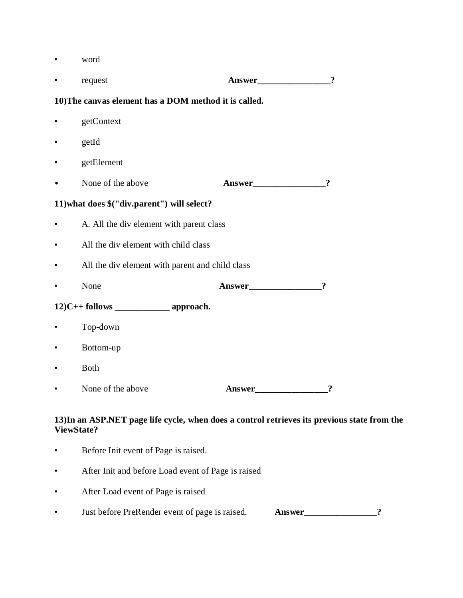• word

|                                                                                             | request                                         |        | $\overline{\mathbf{?}}$    |  |  |
|---------------------------------------------------------------------------------------------|-------------------------------------------------|--------|----------------------------|--|--|
| 10) The canvas element has a DOM method it is called.                                       |                                                 |        |                            |  |  |
|                                                                                             | getContext                                      |        |                            |  |  |
|                                                                                             | getId                                           |        |                            |  |  |
| $\bullet$                                                                                   | getElement                                      |        |                            |  |  |
|                                                                                             | None of the above                               | Answer | $\boldsymbol{?}$           |  |  |
|                                                                                             | 11) what does \$("div.parent") will select?     |        |                            |  |  |
| $\bullet$                                                                                   | A. All the div element with parent class        |        |                            |  |  |
|                                                                                             | All the div element with child class            |        |                            |  |  |
|                                                                                             | All the div element with parent and child class |        |                            |  |  |
|                                                                                             | None                                            | Answer | $\boldsymbol{\mathcal{P}}$ |  |  |
|                                                                                             |                                                 |        |                            |  |  |
|                                                                                             | Top-down                                        |        |                            |  |  |
|                                                                                             | Bottom-up                                       |        |                            |  |  |
|                                                                                             | <b>Both</b>                                     |        |                            |  |  |
|                                                                                             | None of the above                               | Answer |                            |  |  |
| 13) In an ASP.NET page life cycle, when does a control retrieves its previous<br>ViewState? |                                                 |        |                            |  |  |

- Before Init event of Page is raised.
- After Init and before Load event of Page is raised
- After Load event of Page is raised
- Just before PreRender event of page is raised. **Answer\_\_\_\_\_\_\_\_\_\_\_\_\_\_\_\_?**

state from the